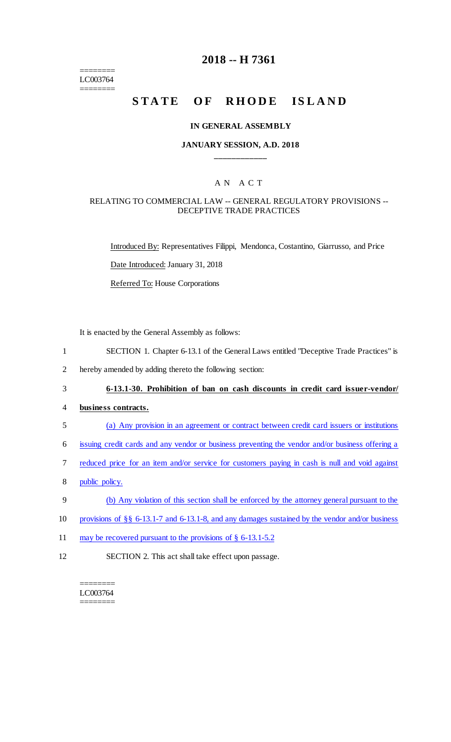======== LC003764 ========

# **2018 -- H 7361**

# **STATE OF RHODE ISLAND**

#### **IN GENERAL ASSEMBLY**

### **JANUARY SESSION, A.D. 2018 \_\_\_\_\_\_\_\_\_\_\_\_**

### A N A C T

### RELATING TO COMMERCIAL LAW -- GENERAL REGULATORY PROVISIONS -- DECEPTIVE TRADE PRACTICES

Introduced By: Representatives Filippi, Mendonca, Costantino, Giarrusso, and Price

Date Introduced: January 31, 2018

Referred To: House Corporations

It is enacted by the General Assembly as follows:

- 1 SECTION 1. Chapter 6-13.1 of the General Laws entitled "Deceptive Trade Practices" is
- 2 hereby amended by adding thereto the following section:

### 3 **6-13.1-30. Prohibition of ban on cash discounts in credit card issuer-vendor/**

- 4 **business contracts.**
- 5 (a) Any provision in an agreement or contract between credit card issuers or institutions
- 6 issuing credit cards and any vendor or business preventing the vendor and/or business offering a
- 7 reduced price for an item and/or service for customers paying in cash is null and void against
- 8 public policy.
- 9 (b) Any violation of this section shall be enforced by the attorney general pursuant to the
- 10 provisions of §§ 6-13.1-7 and 6-13.1-8, and any damages sustained by the vendor and/or business
- 11 may be recovered pursuant to the provisions of § 6-13.1-5.2
- 12 SECTION 2. This act shall take effect upon passage.

#### ======== LC003764 ========